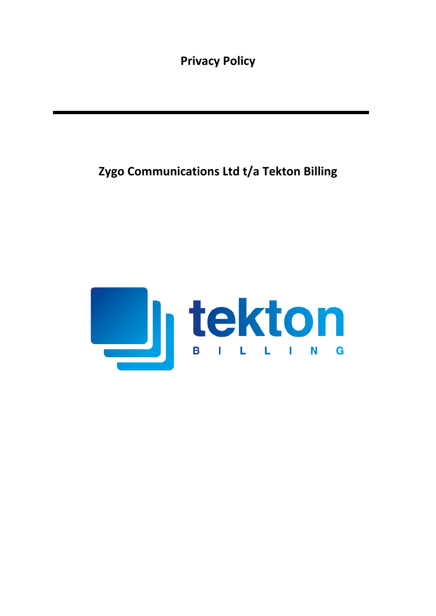**Privacy Policy**

# **Zygo Communications Ltd t/a Tekton Billing**

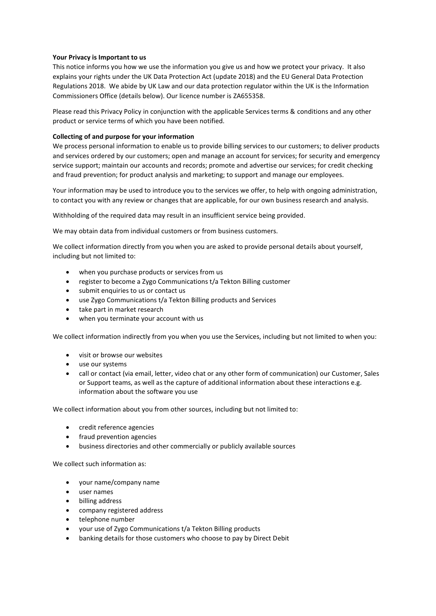## **Your Privacy is Important to us**

This notice informs you how we use the information you give us and how we protect your privacy. It also explains your rights under the UK Data Protection Act (update 2018) and the EU General Data Protection Regulations 2018. We abide by UK Law and our data protection regulator within the UK is the Information Commissioners Office (details below). Our licence number is ZA655358.

Please read this Privacy Policy in conjunction with the applicable Services terms & conditions and any other product or service terms of which you have been notified.

## **Collecting of and purpose for your information**

We process personal information to enable us to provide billing services to our customers; to deliver products and services ordered by our customers; open and manage an account for services; for security and emergency service support; maintain our accounts and records; promote and advertise our services; for credit checking and fraud prevention; for product analysis and marketing; to support and manage our employees.

Your information may be used to introduce you to the services we offer, to help with ongoing administration, to contact you with any review or changes that are applicable, for our own business research and analysis.

Withholding of the required data may result in an insufficient service being provided.

We may obtain data from individual customers or from business customers.

We collect information directly from you when you are asked to provide personal details about yourself, including but not limited to:

- when you purchase products or services from us
- register to become a Zygo Communications t/a Tekton Billing customer
- submit enquiries to us or contact us
- use Zygo Communications t/a Tekton Billing products and Services
- take part in market research
- when you terminate your account with us

We collect information indirectly from you when you use the Services, including but not limited to when you:

- visit or browse our websites
- use our systems
- call or contact (via email, letter, video chat or any other form of communication) our Customer, Sales or Support teams, as well as the capture of additional information about these interactions e.g. information about the software you use

We collect information about you from other sources, including but not limited to:

- credit reference agencies
- fraud prevention agencies
- business directories and other commercially or publicly available sources

We collect such information as:

- your name/company name
- user names
- billing address
- company registered address
- telephone number
- your use of Zygo Communications t/a Tekton Billing products
- banking details for those customers who choose to pay by Direct Debit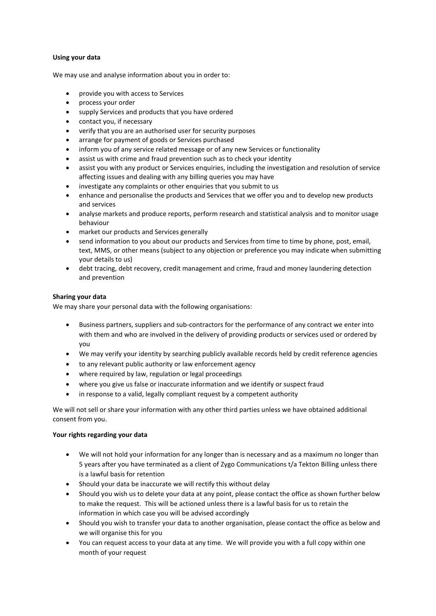## **Using your data**

We may use and analyse information about you in order to:

- provide you with access to Services
- process your order
- supply Services and products that you have ordered
- contact you, if necessary
- verify that you are an authorised user for security purposes
- arrange for payment of goods or Services purchased
- inform you of any service related message or of any new Services or functionality
- assist us with crime and fraud prevention such as to check your identity
- assist you with any product or Services enquiries, including the investigation and resolution of service affecting issues and dealing with any billing queries you may have
- investigate any complaints or other enquiries that you submit to us
- enhance and personalise the products and Services that we offer you and to develop new products and services
- analyse markets and produce reports, perform research and statistical analysis and to monitor usage behaviour
- market our products and Services generally
- send information to you about our products and Services from time to time by phone, post, email, text, MMS, or other means (subject to any objection or preference you may indicate when submitting your details to us)
- debt tracing, debt recovery, credit management and crime, fraud and money laundering detection and prevention

### **Sharing your data**

We may share your personal data with the following organisations:

- Business partners, suppliers and sub-contractors for the performance of any contract we enter into with them and who are involved in the delivery of providing products or services used or ordered by you
- We may verify your identity by searching publicly available records held by credit reference agencies
- to any relevant public authority or law enforcement agency
- where required by law, regulation or legal proceedings
- where you give us false or inaccurate information and we identify or suspect fraud
- in response to a valid, legally compliant request by a competent authority

We will not sell or share your information with any other third parties unless we have obtained additional consent from you.

### **Your rights regarding your data**

- We will not hold your information for any longer than is necessary and as a maximum no longer than 5 years after you have terminated as a client of Zygo Communications t/a Tekton Billing unless there is a lawful basis for retention
- Should your data be inaccurate we will rectify this without delay
- Should you wish us to delete your data at any point, please contact the office as shown further below to make the request. This will be actioned unless there is a lawful basis for us to retain the information in which case you will be advised accordingly
- Should you wish to transfer your data to another organisation, please contact the office as below and we will organise this for you
- You can request access to your data at any time. We will provide you with a full copy within one month of your request